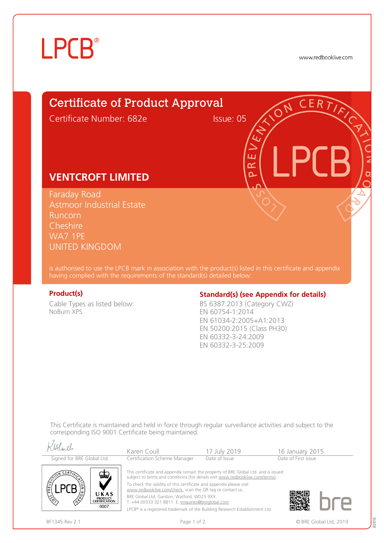# **LPCB**®

www.redbooklive.com

# Certificate of Product Approval

Certificate Number: 682e Issue: 05

ய œ  $\overline{\Omega}$ 

## **VENTCROFT LIMITED**

Faraday Road Astmoor Industrial Estate Runcorn **Cheshire** WA7 1PE UNITED KINGDOM

is authorised to use the LPCB mark in association with the product(s) listed in this certificate and appendix having complied with the requirements of the standard(s) detailed below:

Cable Types as listed below: NoBurn XPS

## **Product(s) Conserversity Standard(s)** (see Appendix for details)

BS 6387:2013 (Category CWZ) EN 60754-1:2014 EN 61034-2:2005+A1:2013 EN 50200:2015 (Class PH30) EN 60332-3-24:2009 EN 60332-3-25:2009

This Certificate is maintained and held in force through regular surveillance activities and subject to the corresponding ISO 9001 Certificate being maintained.

| Alfield                                                                                                                               | Karen Coull                                                                                                                                                                                                                                                                                                                                                                                                                                                                                | 17 July 2019  | 16 January 2015     |  |
|---------------------------------------------------------------------------------------------------------------------------------------|--------------------------------------------------------------------------------------------------------------------------------------------------------------------------------------------------------------------------------------------------------------------------------------------------------------------------------------------------------------------------------------------------------------------------------------------------------------------------------------------|---------------|---------------------|--|
| Signed for BRE Global Ltd.                                                                                                            | Certification Scheme Manager                                                                                                                                                                                                                                                                                                                                                                                                                                                               | Date of Issue | Date of First issue |  |
| $CER$ $\overline{Y}$<br>ww<br>PREVEN<br><b>CRAS</b><br>UKAS<br>$\frac{\sqrt{2}}{2}$<br><b>PRODUCT</b><br><b>CERTIFICATION</b><br>0007 | This certificate and appendix remain the property of BRE Global Ltd. and is issued<br>subject to terms and conditions (for details visit www.redbooklive.com/terms).<br>To check the validity of this certificate and appendix please visit<br>www.redbooklive.com/check, scan the QR tag or contact us.<br>BRE Global Ltd, Garston, Watford, WD25 9XX<br>T: +44 (0)333 321 8811 E: enquiries@breglobal.com<br>LPCB® is a registered trademark of the Building Research Establishment Ltd. |               |                     |  |

 $12.0$